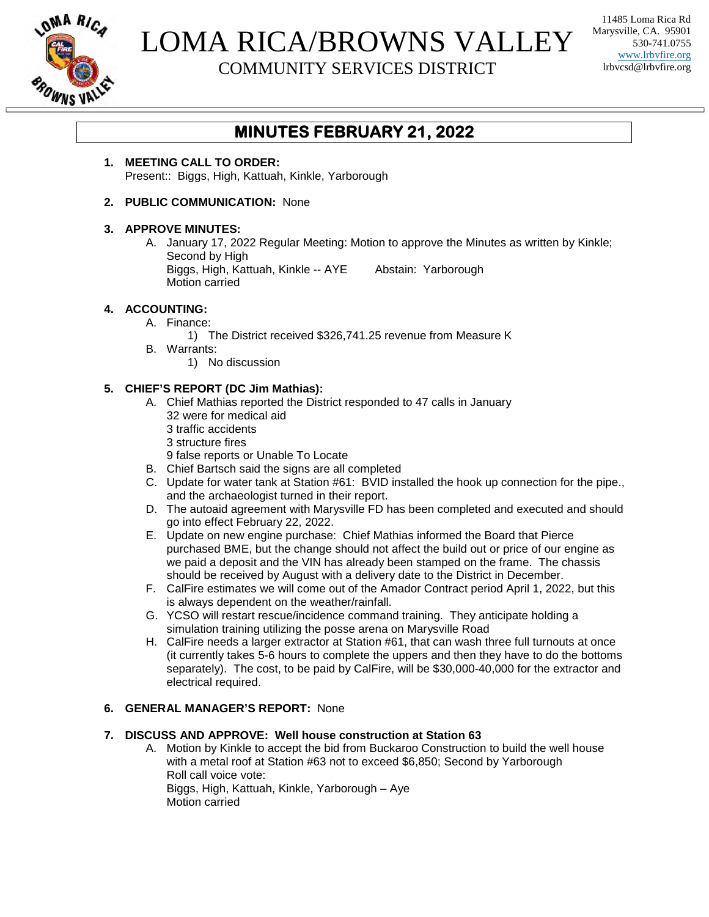

# LOMA RICA/BROWNS VALLEY

COMMUNITY SERVICES DISTRICT

11485 Loma Rica Rd Marysville, CA. 95901 530-741.0755 www.lrbvfire.org lrbvcsd@lrbvfire.org

### **MINUTES FEBRUARY 21, 2022**

**1. MEETING CALL TO ORDER:** Present:: Biggs, High, Kattuah, Kinkle, Yarborough

#### **2. PUBLIC COMMUNICATION:** None

#### **3. APPROVE MINUTES:**

A. January 17, 2022 Regular Meeting: Motion to approve the Minutes as written by Kinkle; Second by High Biggs, High, Kattuah, Kinkle -- AYE Abstain: Yarborough Motion carried

#### **4. ACCOUNTING:**

- A. Finance:
	- 1) The District received \$326,741.25 revenue from Measure K
- B. Warrants:
	- 1) No discussion

#### **5. CHIEF'S REPORT (DC Jim Mathias):**

- A. Chief Mathias reported the District responded to 47 calls in January 32 were for medical aid
	- 3 traffic accidents
	- 3 structure fires
	- 9 false reports or Unable To Locate
- B. Chief Bartsch said the signs are all completed
- C. Update for water tank at Station #61: BVID installed the hook up connection for the pipe., and the archaeologist turned in their report.
- D. The autoaid agreement with Marysville FD has been completed and executed and should go into effect February 22, 2022.
- E. Update on new engine purchase: Chief Mathias informed the Board that Pierce purchased BME, but the change should not affect the build out or price of our engine as we paid a deposit and the VIN has already been stamped on the frame. The chassis should be received by August with a delivery date to the District in December.
- F. CalFire estimates we will come out of the Amador Contract period April 1, 2022, but this is always dependent on the weather/rainfall.
- G. YCSO will restart rescue/incidence command training. They anticipate holding a simulation training utilizing the posse arena on Marysville Road
- H. CalFire needs a larger extractor at Station #61, that can wash three full turnouts at once (it currently takes 5-6 hours to complete the uppers and then they have to do the bottoms separately). The cost, to be paid by CalFire, will be \$30,000-40,000 for the extractor and electrical required.

#### **6. GENERAL MANAGER'S REPORT:** None

#### **7. DISCUSS AND APPROVE: Well house construction at Station 63**

A. Motion by Kinkle to accept the bid from Buckaroo Construction to build the well house with a metal roof at Station #63 not to exceed \$6,850; Second by Yarborough Roll call voice vote: Biggs, High, Kattuah, Kinkle, Yarborough – Aye Motion carried